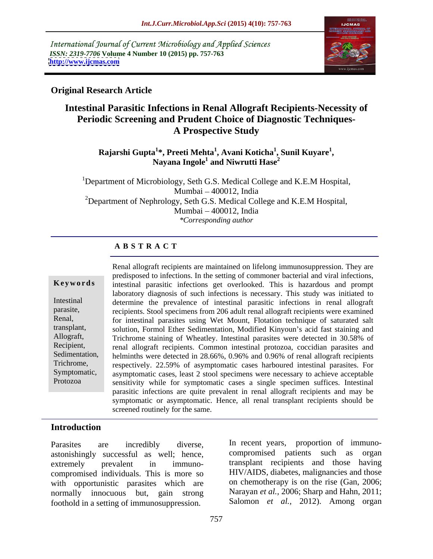International Journal of Current Microbiology and Applied Sciences *ISSN: 2319-7706* **Volume 4 Number 10 (2015) pp. 757-763 <http://www.ijcmas.com>**



# **Original Research Article**

# **Intestinal Parasitic Infections in Renal Allograft Recipients-Necessity of Periodic Screening and Prudent Choice of Diagnostic Techniques- A Prospective Study**

**Rajarshi Gupta<sup>1</sup> \*, Preeti Mehta<sup>1</sup> , Avani Koticha<sup>1</sup> , Nayana Ingole1 , Sunil Kuyare<sup>1</sup> and Niwrutti Hase2**

<sup>1</sup>Department of Microbiology, Seth G.S. Medical College and K.E.M Hospital, Mumbai 400012, India <sup>2</sup>Department of Nephrology, Seth G.S. Medical College and K.E.M Hospital, Mumbai 400012, India *\*Corresponding author*

## **A B S T R A C T**

Protozoa

Renal allograft recipients are maintained on lifelong immunosuppression. They are predisposed to infections. In the setting of commoner bacterial and viral infections, Keywords intestinal parasitic infections get overlooked. This is hazardous and prompt laboratory diagnosis of such infections is necessary. This study was initiated to Intestinal determine the prevalence of intestinal parasitic infections in renal allograft parasite, recipients. Stool specimens from 206 adult renal allograft recipients were examined for intestinal parasites using Wet Mount, Flotation technique of saturated salt Renal, transplant, solution, Formol Ether Sedimentation, Modified Kinyoun's acid fast staining and Allograft, Trichrome staining of Wheatley. Intestinal parasites were detected in 30.58% of renal allograft recipients. Common intestinal protozoa, coccidian parasites and Recipient, Sedimentation, helminths were detected in 28.66%, 0.96% and 0.96% of renal allograft recipients<br>Trichrome, respectively, 22.59% of asymptomatic cases harboured intestinal parasites. For respectively. 22.59% of asymptomatic cases harboured intestinal parasites. For Symptomatic, asymptomatic cases, least 2 stool specimens were necessary to achieve acceptable sensitivity while for symptomatic cases a single specimen suffices. Intestinal parasitic infections are quite prevalent in renal allograft recipients and may be symptomatic or asymptomatic. Hence, all renal transplant recipients should be screened routinely for the same.

# **Introduction**

astonishingly successful as well; hence, compromised individuals. This is more so with opportunistic parasites which are foothold in a setting of immunosuppression.

Parasites are incredibly diverse, In recent years, proportion of immuno extremely prevalent in immuno- transplant recipients and those having normally innocuous but, gain strong Narayan *et al.*, 2006; Sharp and Hahn, 2011; compromised patients such as organ HIV/AIDS, diabetes, malignancies and those on chemotherapy is on the rise (Gan, 2006; Salomon *et al.,* 2012). Among organ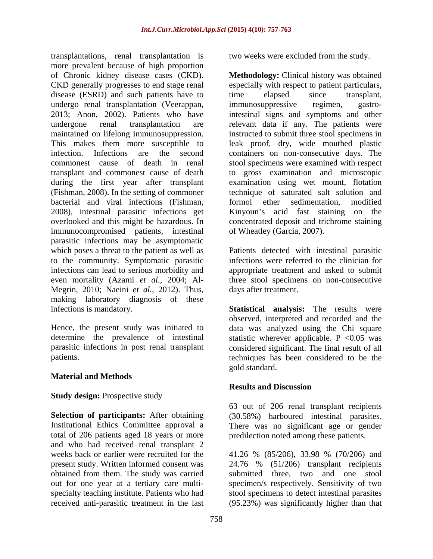transplantations, renal transplantation is more prevalent because of high proportion of Chronic kidney disease cases (CKD). **Methodology:** Clinical history was obtained CKD generally progresses to end stage renal disease (ESRD) and such patients have to time elapsed since transplant, undergo renal transplantation (Veerappan, 2013; Anon, 2002). Patients who have intestinal signs and symptomsand other undergone renal transplantation are relevant data if any. The patients were maintained on lifelong immunosuppression. instructed to submit three stool specimens in This makes them more susceptible to leak proof, dry, wide mouthed plastic infection. Infections are the second containers on non-consecutive days. The commonest cause of death in renal stool specimens were examined with respect transplant and commonest cause of death to gross examination and microscopic during the first year after transplant (Fishman, 2008). In the setting of commoner technique of saturated salt solution and bacterial and viral infections (Fishman, 2008), intestinal parasitic infections get overlooked and this might be hazardous. In concentrated deposit and trichrome staining immunocompromised patients, intestinal parasitic infections may be asymptomatic which poses a threat to the patient as well as Patients detected with intestinal parasitic to the community. Symptomatic parasitic infections were referred to the clinician for infections can lead to serious morbidity and even mortality (Azami *et al.,* 2004; Al- Megrin, 2010; Naeini *et al.,* 2012). Thus, making laboratory diagnosis of these

#### **Material and Methods**

#### **Study design: Prospective study**

**Selection of participants:** After obtaining (30.58%) harboured intestinal parasites. Institutional Ethics Committee approval a There was no significant age or gender total of 206 patients aged 18 years or more and who had received renal transplant 2 obtained from them. The study was carried

two weeks were excluded from the study.

especially with respect to patient particulars,<br>time elapsed since transplant, immunosuppressive regimen, gastroexamination using wet mount, flotation formol ether sedimentation, modified Kinyoun's acid fast staining on the of Wheatley (Garcia, 2007).

appropriate treatment and asked to submit three stool specimens on non-consecutive days after treatment.

infections is mandatory. **Statistical analysis:** The results were Hence, the present study was initiated to data was analyzed using the Chi square determine the prevalence of intestinal statistic wherever applicable. P <0.05 was parasitic infections in post renal transplant considered significant. The final result of all patients. techniques has been considered to be the observed, interpreted and recorded and the gold standard.

## **Results and Discussion**

63 out of 206 renal transplant recipients predilection noted among these patients.

weeks back or earlier were recruited for the 41.26 % (85/206), 33.98 % (70/206) and present study. Written informed consent was 24.76 % (51/206) transplant recipients out for one year at a tertiary care multi- specimen/s respectively. Sensitivity of two specialty teaching institute. Patients who had stool specimens to detect intestinal parasites received anti-parasitic treatment in the last (95.23%) was significantly higher than that submitted three, two and one stool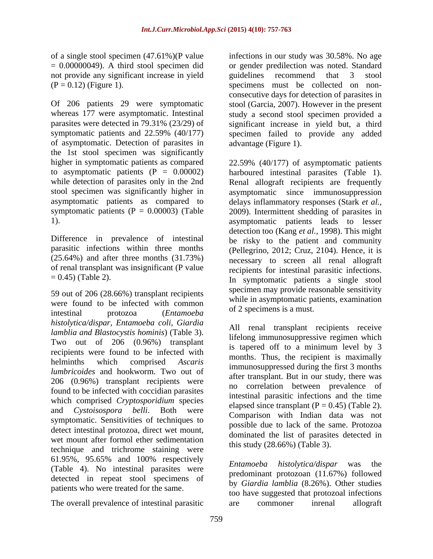not provide any significant increase in yield guidelines recommend that  $3$  stool specimens must be collected on non-

of asymptomatic. Detection of parasites in the 1st stool specimen was significantly

Difference in prevalence of intestinal parasitic infections within three months (25.64%) and after three months (31.73%) of renal transplant was insignificant (P value  $= 0.45$ ) (Table 2).

59 out of 206 (28.66%) transplant recipients were found to be infected with common intestinal protozoa (*Entamoeba histolytica/dispar, Entamoeba coli, Giardia lamblia and Blastocystis hominis*) (Table 3). Two out of 206 (0.96%) transplant recipients were found to be infected with *lumbricoides* and hookworm. Two out of 206 (0.96%) transplant recipients were found to be infected with coccidian parasites which comprised *Cryptosporidium* species symptomatic. Sensitivities of techniques to detect intestinal protozoa, direct wet mount, wet mount after formol ether sedimentation technique and trichrome staining were 61.95%, 95.65% and 100% respectively (Table 4). No intestinal parasites were detected in repeat stool specimens of patients who were treated for the same.

The overall prevalence of intestinal parasitic are commoner intentional allograft

of a single stool specimen (47.61%)(P value infections in our study was 30.58%. No age = 0.00000049). A third stool specimen did or gender predilection was noted. Standard  $(P = 0.12)$  (Figure 1). specimens must be collected on non-Of 206 patients 29 were symptomatic stool (Garcia, 2007). However in the present whereas 177 were asymptomatic. Intestinal study a second stool specimen provided a parasites were detected in 79.31% (23/29) of significant increase in yield but, a third symptomatic patients and 22.59% (40/177) specimen failed to provide any added guidelines recommend that 3 stool consecutive days for detection of parasites in advantage (Figure 1).

higher in symptomatic patients as compared 22.59% (40/177) of asymptomatic patients to asymptomatic patients (P = 0.00002) harboured intestinal parasites (Table 1). while detection of parasites only in the 2nd Renal allograft recipients are frequently stool specimen was significantly higher in asymptomatic since immunosuppression asymptomatic patients as compared to delays inflammatory responses (Stark *et al.,* symptomatic patients  $(P = 0.00003)$  (Table 2009). Intermittent shedding of parasites in 1). asymptomatic patients leads to lesser  $= 0.45$ ) (Table 2). In symptomatic patients a single stool detection too (Kang *et al.,* 1998). This might be risky to the patient and community (Pellegrino, 2012; Cruz, 2104). Hence, it is necessary to screen all renal allograft recipients for intestinal parasitic infections. specimen may provide reasonable sensitivity while in asymptomatic patients, examination of 2 specimens is a must.

helminths which comprised *Ascaris* implies the reception is maximally immunosuppressed during the first 3 months and *Cystoisospora belli*. Both were chapsed since that  $(1 - 0.75)$  (Table 2). All renal transplant recipients receive lifelong immunosuppressive regimen which is tapered off to a minimum level by 3 months. Thus, the recipient is maximally after transplant. But in our study, there was no correlation between prevalence of intestinal parasitic infections and the time elapsed since transplant  $(P = 0.45)$  (Table 2). Comparison with Indian data was not possible due to lack of the same. Protozoa dominated the list of parasites detected in this study (28.66%) (Table 3).

> *Entamoeba histolytica/dispar* was the predominant protozoan (11.67%) followed by *Giardia lamblia* (8.26%). Other studies too have suggested that protozoal infections are commoner inrenal allograft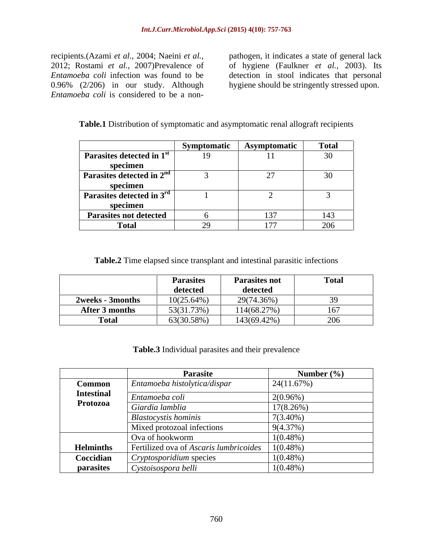recipients.(Azami *et al.*, 2004; Naeini *et al.*, pathogen, it indicates a state of general lack 2012; Rostami *et al.*, 2007)Prevalence of of hygiene (Faulkner *et al.*, 2003). Its 2012; Rostami *et al.,* 2007)Prevalence of of hygiene (Faulkner *et al.,* 2003). Its *Entamoeba coli* infection was found to be detection in stool indicates that personal 0.96% (2/206) in our study. Although hygiene should be stringently stressed upon. *Entamoeba coli* infection was found to be a non-<br> *Entamoeba coli* infection was found to be a non-<br> *Entamoeba coli* is considered to be a non-<br> *Entamoeba coli* is considered to be a non-

| <b>Table.1</b> Distribution of symptomatic and asymptomatic renal a<br>Ilograft recipients |  |
|--------------------------------------------------------------------------------------------|--|
|                                                                                            |  |

|                                       | Symptomatic | Asymptomatic | <b>Total</b> |
|---------------------------------------|-------------|--------------|--------------|
| Parasites detected in 1 <sup>st</sup> | 19          |              | $\mathbf{A}$ |
| specimen                              |             |              |              |
| Parasites detected in 2 <sup>nd</sup> |             | $\sim$ 1     |              |
| specimen                              |             |              |              |
| Parasites detected in $3^{\text{rd}}$ |             |              |              |
| specimen                              |             |              |              |
| <b>Parasites not detected</b>         |             | 131          | L49          |
| <b>Total</b>                          | $\sim$      | F            | 206          |

**Table.2** Time elapsed since transplant and intestinal parasitic infections

|                  | <b>Parasites</b> | <b>Parasites not</b> | Total                   |
|------------------|------------------|----------------------|-------------------------|
|                  | detected         | detected             |                         |
| 2weeks - 3months | $10(25.64\%)$    | 29(74.36%)           |                         |
| After 3 months   | 53(31.73%)       | 114(68.27%)          | 1 V 1                   |
| <b>Total</b>     | 63(30.58%)       | 143(69.42%)          | $\sim$<br>$\sim$ $\sim$ |

**Table.3** Individual parasites and their prevalence

|                   | Parasite                               | Number $(\% )$ |
|-------------------|----------------------------------------|----------------|
| <b>Common</b>     | Entamoeba histolytica/dispar           | 24(11.67%)     |
| <b>Intestinal</b> | Entamoeba coli                         | $2(0.96\%)$    |
| Protozoa          | Giardia lamblia                        | $17(8.26\%)$   |
|                   | <b>Blastocystis hominis</b>            | $7(3.40\%)$    |
|                   | Mixed protozoal infections             | $9(4.37\%)$    |
|                   | Ova of hookworm                        | $1(0.48\%)$    |
| <b>Helminths</b>  | Fertilized ova of Ascaris lumbricoides | $1(0.48\%)$    |
| Coccidian         | Cryptosporidium species                | $1(0.48\%)$    |
| parasites         | Cystoisospora belli                    | $1(0.48\%)$    |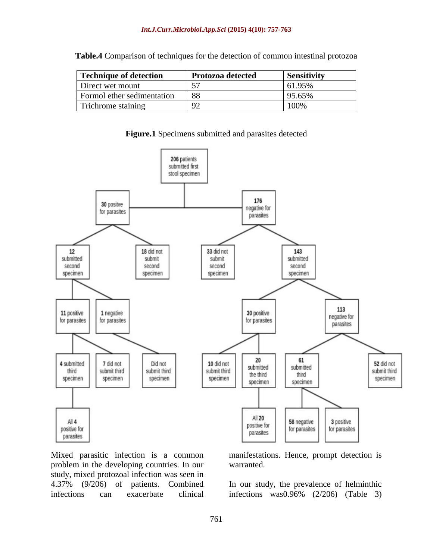| Technique of detection     | <b>Protozoa detected</b> | <b>Sensitivity</b>                  |
|----------------------------|--------------------------|-------------------------------------|
| Direct wet mount           |                          | $\epsilon$ 1 $\Omega$ 50<br>01.9.9% |
| Formol ether sedimentation |                          | 05.6502<br>.                        |
| Trichrome staining         |                          | 1000<br>$\pm 100$                   |

**Table.4** Comparison of techniques for the detection of common intestinal protozoa

**Figure.1** Specimens submitted and parasites detected



Mixed parasitic infection is a common manifestations. Hence, prompt detection is problem in the developing countries. In our study, mixed protozoal infection was seen in<br>4.37% (9/206) of patients. Combined 4.37% (9/206) of patients. Combined In our study, the prevalence of helminthic infections can exacerbate clinical infections was 0.96% (2/206) (Table 3)

warranted.

infections was0.96% (2/206) (Table 3)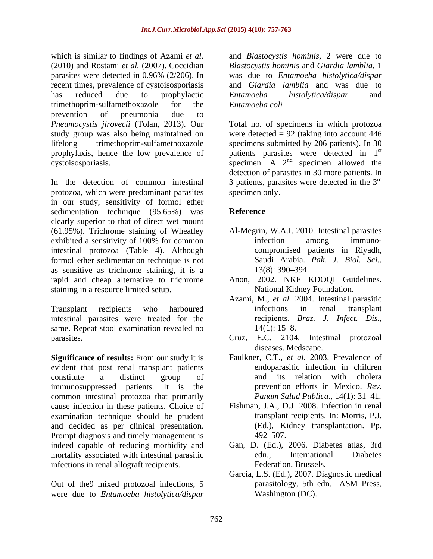which is similar to findings of Azami *et al.* and *Blastocystis hominis,* 2 were due to (2010) and Rostami *et al.* (2007). Coccidian *Blastocystis hominis* and *Giardia lamblia*, 1 parasites were detected in 0.96% (2/206). In was due to *Entamoeba histolytica/dispar* recent times, prevalence of cystoisosporiasis and *Giardia lamblia* and was due to has reduced due to prophylactic *Entamoeba histolytica/dispar* and trimethoprim-sulfamethoxazole for the *Entamoeba coli* prevention of pneumonia due to

In the detection of common intestinal 3 patients, parasites were detected in the  $3<sup>rd</sup>$ protozoa, which were predominant parasites in our study, sensitivity of formol ether sedimentation technique (95.65%) was **Reference** clearly superior to that of direct wet mount (61.95%). Trichrome staining of Wheatley exhibited a sensitivity of 100% for common infection among immunointestinal protozoa (Table 4). Although formol ether sedimentation technique is not as sensitive as trichrome staining, it is a  $13(8)$ : 390–394. rapid and cheap alternative to trichrome Anon, 2002. NKF KDOQI Guidelines. staining in a resource limited setup. National Kidney Foundation.

Transplant recipients who harboured intestinal parasites were treated for the same. Repeat stool examination revealed no  $14(1)$ : 15-8. parasites. Cruz, E.C. 2104. Intestinal protozoal

evident that post renal transplant patients constitute a distinct group of immunosuppressed patients. It is the common intestinal protozoa that primarily cause infection in these patients. Choice of examination technique should be prudent and decided as per clinical presentation. (Ed.), Ki<br>Prompt diagnosis and timely management is  $492-507$ . Prompt diagnosis and timely management is indeed capable of reducing morbidity and Gan, D. (Ed.), 2006. Diabetes atlas, 3rd mortality associated with intestinal parasitic edn., International Diabetes infections in renal allograft recipients.

Out of the9 mixed protozoal infections, 5 parasitology, 5th edn. ASM Press, were due to *Entamoeba histolytica/dispar*

was due to *Entamoeba histolytica/dispar Entamoeba histolytica/dispar* and *Entamoeba coli*

*Pneumocystis jirovecii* (Tolan, 2013). Our Total no. of specimens in which protozoa study group was also being maintained on were detected = 92 (taking into account 446 lifelong trimethoprim-sulfamethoxazole specimens submitted by 206 patients). In 30 prophylaxis, hence the low prevalence of patients parasites were detected in 1<sup>st</sup> cystoisosporiasis.  $\qquad \qquad$  specimen. A  $2<sup>nd</sup>$  specimen allowed the st specimen allowed the detection of parasites in 30 more patients. In rd specimen only.

# **Reference**

- Al-Megrin, W.A.I. 2010. Intestinal parasites infection among immuno compromised patients in Riyadh, Saudi Arabia. *Pak. J. Biol. Sci.,* 13(8): 390 394.
- 
- National Kidney Foundation. Azami, M., *et al.* 2004. Intestinal parasitic infections in renal transplant recipients*. Braz. J. Infect. Dis.,*  $14(1)$ : 15–8.
- 
- **Significance of results:** From our study it is Faulkner, C.T., et al. 2003. Prevalence of diseases. Medscape. Faulkner, C.T., *et al.* 2003. Prevalence of endoparasitic infection in children and its relation with cholera prevention efforts in Mexico. *Rev. Panam Salud Publica.,* 14(1): 31-41.
	- Fishman, J.A., D.J. 2008. Infection in renal transplant recipients. In: Morris, P.J. (Ed.), Kidney transplantation. Pp. 492–507.
	- edn., International Diabetes Federation, Brussels.
	- Garcia, L.S. (Ed.), 2007. Diagnostic medical parasitology, 5th edn. ASM Press, Washington (DC).